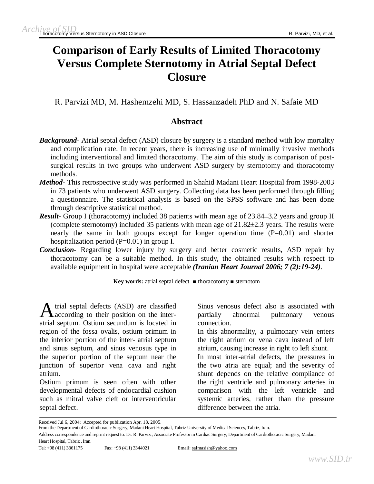# **Comparison of Early Results of Limited Thoracotomy Versus Complete Sternotomy in Atrial Septal Defect Closure**

R. Parvizi MD, M. Hashemzehi MD, S. Hassanzadeh PhD and N. Safaie MD

# **Abstract**

- *Background* Atrial septal defect (ASD) closure by surgery is a standard method with low mortality and complication rate. In recent years, there is increasing use of minimally invasive methods including interventional and limited thoracotomy. The aim of this study is comparison of postsurgical results in two groups who underwent ASD surgery by sternotomy and thoracotomy methods.
- *Method-* This retrospective study was performed in Shahid Madani Heart Hospital from 1998-2003 in 73 patients who underwent ASD surgery. Collecting data has been performed through filling a questionnaire. The statistical analysis is based on the SPSS software and has been done through descriptive statistical method.
- *Result* Group I (thoracotomy) included 38 patients with mean age of 23.84 $\pm$ 3.2 years and group II (complete sternotomy) included 35 patients with mean age of 21.82±2.3 years. The results were nearly the same in both groups except for longer operation time  $(P=0.01)$  and shorter hospitalization period (P=0.01) in group I.
- *Conclusion-* Regarding lower injury by surgery and better cosmetic results, ASD repair by thoracotomy can be a suitable method. In this study, the obtained results with respect to available equipment in hospital were acceptable *(Iranian Heart Journal 2006; 7 (2):19-24).*

**Key words:** atrial septal defect ■ thoracotomy ■ sternotom

A trial septal defects (ASD) are classified<br>according to their position on the interaccording to their position on the interatrial septum. Ostium secundum is located in region of the fossa ovalis, ostium primum in the inferior portion of the inter- atrial septum and sinus septum, and sinus venosus type in the superior portion of the septum near the junction of superior vena cava and right atrium.

Ostium primum is seen often with other developmental defects of endocardial cushion such as mitral valve cleft or interventricular septal defect.

Sinus venosus defect also is associated with partially abnormal pulmonary venous connection.

In this abnormality, a pulmonary vein enters the right atrium or vena cava instead of left atrium, causing increase in right to left shunt.

In most inter-atrial defects, the pressures in the two atria are equal; and the severity of shunt depends on the relative compliance of the right ventricle and pulmonary arteries in comparison with the left ventricle and systemic arteries, rather than the pressure difference between the atria.

Received Jul 6, 2004; Accepted for publication Apr. 18, 2005.

From the Department of Cardiothoracic Surgery, Madani Heart Hospital, Tabriz University of Medical Sciences, Tabriz, Iran.

Address correspondence and reprint request to: Dr. R. Parvizi, Associate Professor in Cardiac Surgery, Department of Cardiothoracic Surgery, Madani Heart Hospital, Tabriz , Iran.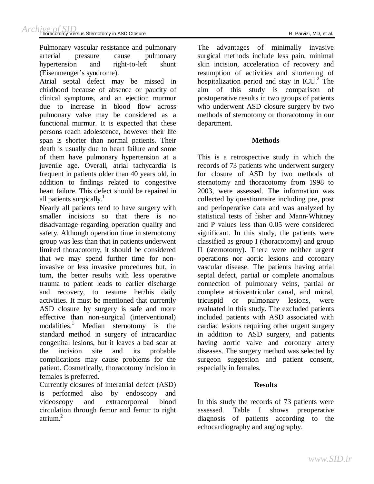Pulmonary vascular resistance and pulmonary arterial pressure cause pulmonary hypertension and right-to-left shunt (Eisenmenger's syndrome).

Atrial septal defect may be missed in childhood because of absence or paucity of clinical symptoms, and an ejection murmur due to increase in blood flow across pulmonary valve may be considered as a functional murmur. It is expected that these persons reach adolescence, however their life span is shorter than normal patients. Their death is usually due to heart failure and some of them have pulmonary hypertension at a juvenile age. Overall, atrial tachycardia is frequent in patients older than 40 years old, in addition to findings related to congestive heart failure. This defect should be repaired in all patients surgically. $\frac{1}{1}$ 

Nearly all patients tend to have surgery with smaller incisions so that there is no disadvantage regarding operation quality and safety. Although operation time in sternotomy group was less than that in patients underwent limited thoracotomy, it should be considered that we may spend further time for noninvasive or less invasive procedures but, in turn, the better results with less operative trauma to patient leads to earlier discharge and recovery, to resume her/his daily activities. It must be mentioned that currently ASD closure by surgery is safe and more effective than non-surgical (interventional) modalities. <sup>1</sup> Median sternotomy is the standard method in surgery of intracardiac congenital lesions, but it leaves a bad scar at the incision site and its probable complications may cause problems for the patient. Cosmetically, thoracotomy incision in females is preferred.

Currently closures of interatrial defect (ASD) is performed also by endoscopy and videoscopy and extracorporeal blood circulation through femur and femur to right atrium. 2

The advantages of minimally invasive surgical methods include less pain, minimal skin incision, acceleration of recovery and resumption of activities and shortening of hospitalization period and stay in  $ICU<sup>2</sup>$ . The aim of this study is comparison of postoperative results in two groups of patients who underwent ASD closure surgery by two methods of sternotomy or thoracotomy in our department.

## **Methods**

This is a retrospective study in which the records of 73 patients who underwent surgery for closure of ASD by two methods of sternotomy and thoracotomy from 1998 to 2003, were assessed. The information was collected by questionnaire including pre, post and perioperative data and was analyzed by statistical tests of fisher and Mann-Whitney and P values less than 0.05 were considered significant. In this study, the patients were classified as group I (thoracotomy) and group II (sternotomy). There were neither urgent operations nor aortic lesions and coronary vascular disease. The patients having atrial septal defect, partial or complete anomalous connection of pulmonary veins, partial or complete atrioventricular canal, and mitral, tricuspid or pulmonary lesions, were evaluated in this study. The excluded patients included patients with ASD associated with cardiac lesions requiring other urgent surgery in addition to ASD surgery, and patients having aortic valve and coronary artery diseases. The surgery method was selected by surgeon suggestion and patient consent, especially in females.

## **Results**

In this study the records of 73 patients were assessed. Table I shows preoperative diagnosis of patients according to the echocardiography and angiography.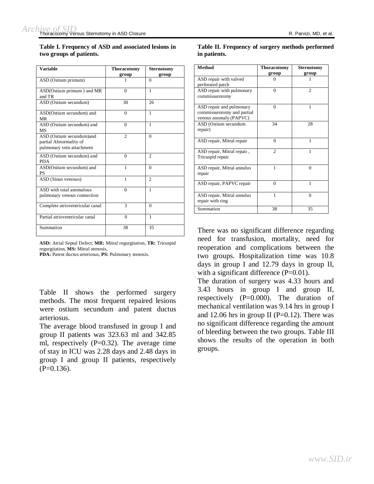**Table I. Frequency of ASD and associated lesions in two groups of patients.** 

| <b>Variable</b>                                                                 | <b>Thoracotomy</b> | <b>Sternotomy</b> |  |  |
|---------------------------------------------------------------------------------|--------------------|-------------------|--|--|
|                                                                                 | group              | group             |  |  |
| ASD (Ostium primum)                                                             | 1                  | $\Omega$          |  |  |
| ASD(Ostium primum) and MR<br>and TR                                             | $\Omega$           | $\mathbf{1}$      |  |  |
| ASD (Ostium secundum)                                                           | 30                 | 26                |  |  |
| ASD(Ostium secundum) and<br>MR                                                  | $\Omega$           | 1                 |  |  |
| ASD (Ostium secundum) and<br>MS                                                 | $\Omega$           | 1                 |  |  |
| ASD (Ostium secundum)and<br>partial Abnormality of<br>pulmonary vein attachment | $\mathfrak{D}$     | $\Omega$          |  |  |
| ASD (Ostium secundum) and<br><b>PDA</b>                                         | $\theta$           | $\overline{c}$    |  |  |
| ASD(Ostium secundum) and<br><b>PS</b>                                           | 1                  | $\Omega$          |  |  |
| ASD (Sinus venosus)                                                             | 1                  | $\overline{2}$    |  |  |
| ASD with total anomalous<br>pulmonary venous connection                         | $\theta$           | 1                 |  |  |
| Complete atrioventricular canal                                                 | $\mathbf{3}$       | $\Omega$          |  |  |
| Partial atrioventricular canal                                                  | $\Omega$           | $\mathbf{1}$      |  |  |
| Summation                                                                       | 38                 | 35                |  |  |

**ASD:** Atrial Septal Defect; **MR:** Mitral regurgitation, **TR:** Tricuspid regurgitation, **MS:** Mitral stenosis,

**PDA:** Patent ductus arteriosus, **PS:** Pulmonary stenosis.

Table II shows the performed surgery methods. The most frequent repaired lesions were ostium secundum and patent ductus arteriosus.

The average blood transfused in group I and group II patients was 323.63 ml and 342.85 ml, respectively  $(P=0.32)$ . The average time of stay in ICU was 2.28 days and 2.48 days in group I and group II patients, respectively  $(P=0.136)$ .

| Table II. Frequency of surgery methods performed<br>in patients. |                             |                            |  |  |  |
|------------------------------------------------------------------|-----------------------------|----------------------------|--|--|--|
| Method                                                           | <b>Thoracotomy</b><br>group | <b>Sternotomy</b><br>group |  |  |  |
|                                                                  |                             |                            |  |  |  |

|                                                                                  | group          | group          |
|----------------------------------------------------------------------------------|----------------|----------------|
| ASD repair with valved<br>perforated patch                                       | $\Omega$       | 1              |
| ASD repair with pulmonary<br>commissurotomy                                      | $\mathbf{0}$   | $\overline{2}$ |
| ASD repair and pulmonary<br>commissurotomy and partial<br>venous anomaly (PAPVC) | $\theta$       | 1              |
| ASD (Ostium secundum<br>repair)                                                  | 34             | 28             |
| ASD repair, Mitral repair                                                        | $\theta$       | 1              |
| ASD repair, Mitral repair,<br>Tricuspid repair                                   | $\mathfrak{D}$ | 1              |
| ASD repair, Mitral annulus<br>repair                                             | 1              | $\theta$       |
| ASD repair, PAPVC repair                                                         | $\theta$       | 1              |
| ASD repair, Mitral annulus<br>repair with ring                                   | 1              | $\theta$       |
| Summation                                                                        | 38             | 35             |

There was no significant difference regarding need for transfusion, mortality, need for reoperation and complications between the two groups. Hospitalization time was 10.8 days in group I and 12.79 days in group II, with a significant difference (P=0.01).

The duration of surgery was 4.33 hours and 3.43 hours in group I and group II, respectively (P=0.000). The duration of mechanical ventilation was 9.14 hrs in group I and 12.06 hrs in group II ( $P=0.12$ ). There was no significant difference regarding the amount of bleeding between the two groups. Table III shows the results of the operation in both groups.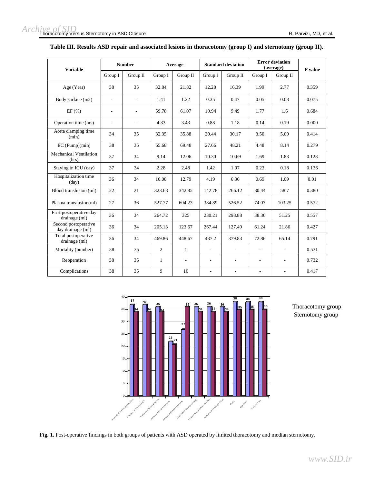| <b>Variable</b>                           |                          | <b>Number</b>            | Average        |                          | <b>Standard deviation</b> |                          | <b>Error deviation</b><br>(average) |                          | P value |
|-------------------------------------------|--------------------------|--------------------------|----------------|--------------------------|---------------------------|--------------------------|-------------------------------------|--------------------------|---------|
|                                           | Group I                  | Group II                 | Group I        | Group II                 | Group I                   | Group II                 | Group I                             | Group II                 |         |
| Age (Year)                                | 38                       | 35                       | 32.84          | 21.82                    | 12.28                     | 16.39                    | 1.99                                | 2.77                     | 0.359   |
| Body surface (m2)                         | $\overline{\phantom{a}}$ | $\overline{\phantom{a}}$ | 1.41           | 1.22                     | 0.35                      | 0.47                     | 0.05                                | 0.08                     | 0.075   |
| EF(%)                                     | $\overline{\phantom{a}}$ | $\overline{\phantom{a}}$ | 59.78          | 61.07                    | 10.94                     | 9.49                     | 1.77                                | 1.6                      | 0.684   |
| Operation time (hrs)                      | $\overline{a}$           | $\overline{\phantom{a}}$ | 4.33           | 3.43                     | 0.88                      | 1.18                     | 0.14                                | 0.19                     | 0.000   |
| Aorta clamping time<br>(min)              | 34                       | 35                       | 32.35          | 35.88                    | 20.44                     | 30.17                    | 3.50                                | 5.09                     | 0.414   |
| $EC$ (Pump) $(min)$                       | 38                       | 35                       | 65.68          | 69.48                    | 27.66                     | 48.21                    | 4.48                                | 8.14                     | 0.279   |
| Mechanical Ventilation<br>(hrs)           | 37                       | 34                       | 9.14           | 12.06                    | 10.30                     | 10.69                    | 1.69                                | 1.83                     | 0.128   |
| Staying in ICU (day)                      | 37                       | 34                       | 2.28           | 2.48                     | 1.42                      | 1.07                     | 0.23                                | 0.18                     | 0.136   |
| Hospitalization time<br>$\text{(day)}$    | 36                       | 34                       | 10.08          | 12.79                    | 4.19                      | 6.36                     | 0.69                                | 1.09                     | 0.01    |
| Blood transfusion (ml)                    | 22                       | 21                       | 323.63         | 342.85                   | 142.78                    | 266.12                   | 30.44                               | 58.7                     | 0.380   |
| Plasma transfusion(ml)                    | 27                       | 36                       | 527.77         | 604.23                   | 384.89                    | 526.52                   | 74.07                               | 103.25                   | 0.572   |
| First postoperative day<br>drainage (ml)  | 36                       | 34                       | 264.72         | 325                      | 230.21                    | 298.88                   | 38.36                               | 51.25                    | 0.557   |
| Second postoperative<br>day drainage (ml) | 36                       | 34                       | 205.13         | 123.67                   | 267.44                    | 127.49                   | 61.24                               | 21.86                    | 0.427   |
| Total postoperative<br>drainage (ml)      | 36                       | 34                       | 469.86         | 448.67                   | 437.2                     | 379.83                   | 72.86                               | 65.14                    | 0.791   |
| Mortality (number)                        | 38                       | 35                       | $\overline{c}$ | $\mathbf{1}$             | $\overline{\phantom{a}}$  | $\overline{\phantom{a}}$ | $\overline{\phantom{a}}$            | $\overline{\phantom{a}}$ | 0.531   |
| Reoperation                               | 38                       | 35                       | $\mathbf{1}$   | $\overline{\phantom{a}}$ | $\overline{\phantom{0}}$  | $\overline{\phantom{a}}$ | $\overline{\phantom{a}}$            | $\overline{a}$           | 0.732   |
| Complications                             | 38                       | 35                       | 9              | 10                       | $\overline{\phantom{0}}$  | $\overline{\phantom{a}}$ | $\frac{1}{2}$                       | $\overline{a}$           | 0.417   |

#### **Table III. Results ASD repair and associated lesions in thoracotomy (group I) and sternotomy (group II).**



Thoracotomy group Sternotomy group

**Fig. 1.** Post-operative findings in both groups of patients with ASD operated by limited thoracotomy and median sternotomy.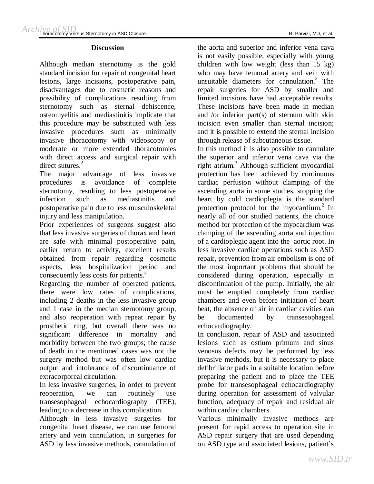#### **Discussion**

Although median sternotomy is the gold standard incision for repair of congenital heart lesions, large incisions, postoperative pain, disadvantages due to cosmetic reasons and possibility of complications resulting from sternotomy such as sternal dehiscence, osteomyelitis and mediastinitis implicate that this procedure may be substituted with less invasive procedures such as minimally invasive thoracotomy with videoscopy or moderate or more extended thoracotomies with direct access and surgical repair with direct sutures.<sup>2</sup>

The major advantage of less invasive procedures is avoidance of complete sternotomy, resulting to less postoperative infection such as mediastinitis and postoperative pain due to less musculoskeletal injury and less manipulation.

Prior experiences of surgeons suggest also that less invasive surgeries of thorax and heart are safe with minimal postoperative pain, earlier return to activity, excellent results obtained from repair regarding cosmetic aspects, less hospitalization period and consequently less costs for patients. 2

Regarding the number of operated patients, there were low rates of complications, including 2 deaths in the less invasive group and 1 case in the median sternotomy group, and also reoperation with repeat repair by prosthetic ring, but overall there was no significant difference in mortality and morbidity between the two groups; the cause of death in the mentioned cases was not the surgery method but was often low cardiac output and intolerance of discontinuance of extracorporeal circulation.

In less invasive surgeries, in order to prevent reoperation, we can routinely use transesophageal echocardiography (TEE), leading to a decrease in this complication.

Although in less invasive surgeries for congenital heart disease, we can use femoral artery and vein cannulation, in surgeries for ASD by less invasive methods, cannulation of

the aorta and superior and inferior vena cava is not easily possible, especially with young children with low weight (less than 15 kg) who may have femoral artery and vein with unsuitable diameters for cannulation. 2 The repair surgeries for ASD by smaller and limited incisions have had acceptable results. These incisions have been made in median and /or inferior part(s) of sternum with skin incision even smaller than sternal incision; and it is possible to extend the sternal incision through release of subcutaneous tissue.

In this method it is also possible to cannulate the superior and inferior vena cava via the right atrium.<sup>3</sup> Although sufficient myocardial protection has been achieved by continuous cardiac perfusion without clamping of the ascending aorta in some studies, stopping the heart by cold cardioplegia is the standard protection protocol for the myocardium. 2 In nearly all of our studied patients, the choice method for protection of the myocardium was clamping of the ascending aorta and injection of a cardioplegic agent into the aortic root. In less invasive cardiac operations such as ASD repair, prevention from air embolism is one of the most important problems that should be considered during operation, especially in discontinuation of the pump. Initially, the air must be emptied completely from cardiac chambers and even before initiation of heart beat, the absence of air in cardiac cavities can be documented by transesophageal echocardiography.

In conclusion, repair of ASD and associated lesions such as ostium primum and sinus venosus defects may be performed by less invasive methods, but it is necessary to place defibrillator pads in a suitable location before preparing the patient and to place the TEE probe for transesophageal echocardiography during operation for assessment of valvular function, adequacy of repair and residual air within cardiac chambers.

Various minimally invasive methods are present for rapid access to operation site in ASD repair surgery that are used depending on ASD type and associated lesions, patient's